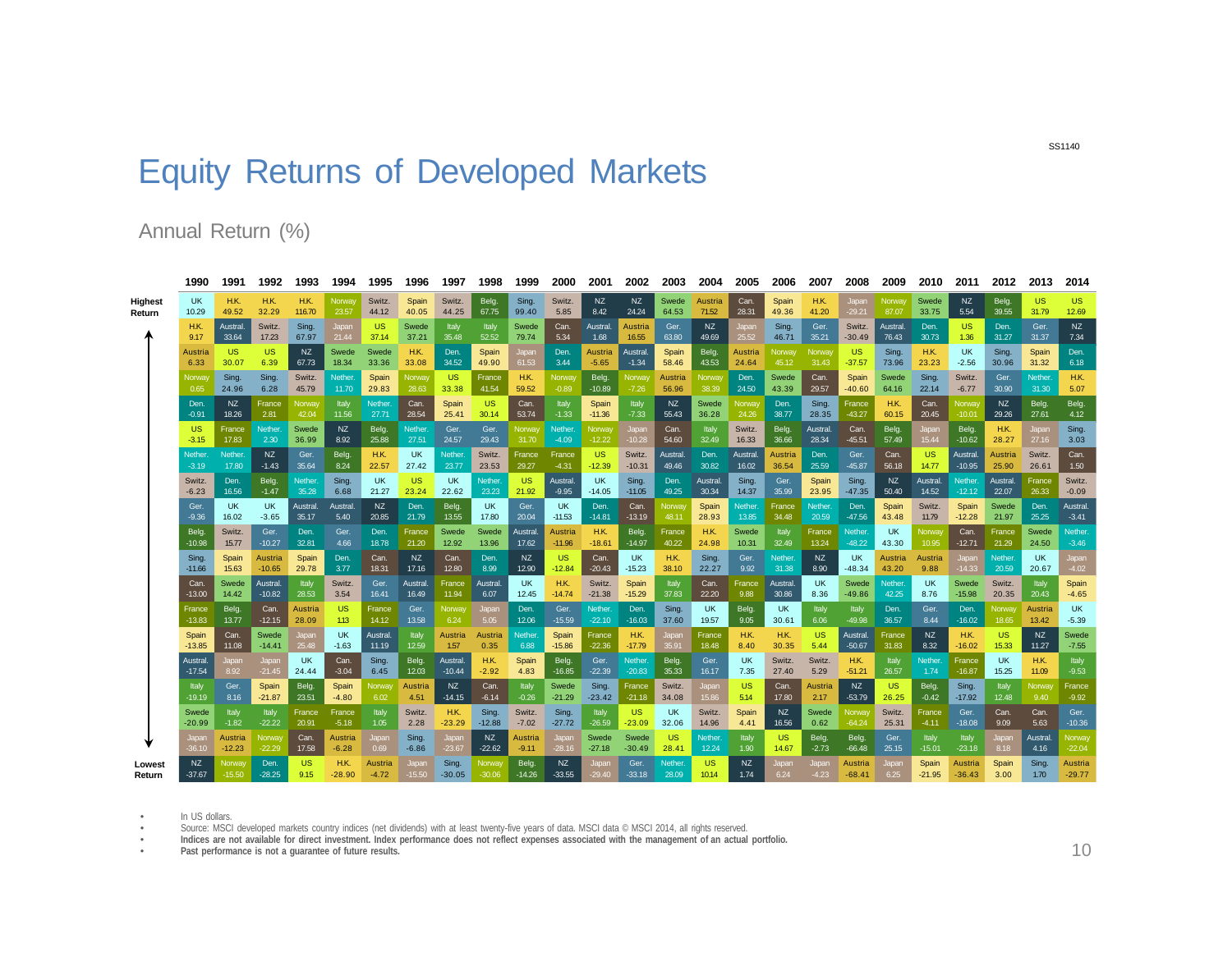## Equity Returns of Developed Markets

## Annual Return (%)

|                | 1990      | 1991      | 1992          | 1993           | 1994      | 1995           | 1996      | 1997          | 1998      | 1999          | 2000         | 2001         | 2002      | 2003      | 2004          | 2005      | 2006      | 2007          | 2008      | 2009           | 2010      | 2011      | 2012          | 2013          | 2014      |
|----------------|-----------|-----------|---------------|----------------|-----------|----------------|-----------|---------------|-----------|---------------|--------------|--------------|-----------|-----------|---------------|-----------|-----------|---------------|-----------|----------------|-----------|-----------|---------------|---------------|-----------|
| <b>Highest</b> | <b>UK</b> | H.K.      | H.K.          | H.K.           | Norway    | Switz.         | Spain     | Switz.        | Belg.     | Sing.         | Switz.       | NZ           | NZ.       | Swede     | Austria       | Can.      | Spain     | H.K.          | Japan     | Norway         | Swede     | NZ.       | Belg.         | <b>US</b>     | <b>US</b> |
| Return         | 10.29     | 49.52     | 32.29         | 116.70         | 23.57     | 44.12          | 40.05     | 44.25         | 67.75     | 99.40         | 5.85         | 8.42         | 24.24     | 64.53     | 71.52         | 28.31     | 49.36     | 41.20         | $-29.21$  | 87.07          | 33.75     | 5.54      | 39.55         | 31.79         | 12.69     |
|                | H.K.      | Austral   | Switz.        | Sing.          | Japan     | <b>US</b>      | Swede     | Italy         | Italy     | Swede         | Can.         | Austral      | Austria   | Ger.      | NZ            | Japan     | Sing.     | Ger.          | Switz.    | <b>Austral</b> | Den.      | <b>US</b> | Den.          | Ger.          | <b>NZ</b> |
|                | 9.17      | 33.64     | 17.23         | 67.97          | 21.44     | 37.14          | 37.21     | 35.48         | 52.52     | 79.74         | 5.34         | 1.68         | 16.55     | 63.80     | 49.69         | 25.52     | 46.71     | 35.21         | $-30.49$  | 76.43          | 30.73     | 1.36      | 31.27         | 31.37         | 7.34      |
|                | Austria   | <b>US</b> | <b>US</b>     | NZ             | Swede     | Swede          | H.K.      | Den.          | Spain     | Japan         | Den.         | Austria      | Austral.  | Spain     | Belg.         | Austria   | Norway    | Norwa         | US        | <b>Sing</b>    | H.K.      | <b>UK</b> | Sing.         | Spain         | Den.      |
|                | 6.33      | 30.07     | 6.39          | 67.73          | 18.34     | 33.36          | 33.08     | 34.52         | 49.90     | 61.53         | 3.44         | $-5.65$      | $-1.34$   | 58.46     | 43.53         | 24.64     | 45.12     | 31.43         | $-37.57$  | 73.96          | 23.23     | $-2.56$   | 30.96         | 31.32         | 6.18      |
|                | Norwa     | Sing.     | Sing.         | Switz.         | Nether.   | Spain          | Norway    | <b>US</b>     | France    | H.K.          | Norway       | Belg.        | Norway    | Austria   | <b>Norway</b> | Den.      | Swede     | Can.          | Spain     | Swede          | Sing.     | Switz.    | Ger.          | <b>Nether</b> | H.K.      |
|                | 0.65      | 24.96     | 6.28          | 45.79          | 11.70     | 29.83          | 28.63     | 33.38         | 41.54     | 59.52         | $-0.89$      | $-10.89$     | $-7.26$   | 56.96     | 38.39         | 24.50     | 43.39     | 29.57         | $-40.60$  | 64.16          | 22.14     | $-6.77$   | 30.90         | 31.30         | 5.07      |
|                | Den       | <b>NZ</b> | France        | Norway         | Italy     | Nether.        | Can.      | Spain         | US        | Can.          | Italy        | Spain        | Italy     | NZ        | Swede         | Norway    | Den.      | Sing.         | France    | H.K.           | Can.      | Norway    | NZ            | Belg.         | Belg.     |
|                | $-0.91$   | 18.26     | 2.81          | 42.04          | 11.56     | 27.71          | 28.54     | 25.41         | 30.14     | 53.74         | $-1.33$      | $-11.36$     | $-7.33$   | 55.43     | 36.28         | 24.26     | 38.77     | 28.35         | $-43.27$  | 60.15          | 20.45     | $-10.01$  | 29.26         | 27.61         | 4.12      |
|                | <b>US</b> | France    | Nether.       | Swede          | NZ        | Belg.          | Nether.   | Ger.          | Ger.      | Norway        | Nether.      | Norway       | Japan     | Can.      | Italy         | Switz.    | Belg.     | Austral.      | Can.      | Belg.          | Japan     | Belg.     | H.K.          | Japan         | Sing.     |
|                | $-3.15$   | 17.83     | 2.30          | 36.99          | 8.92      | 25.88          | 27.51     | 24.57         | 29.43     | 31.70         | $-4.09$      | $-12.22$     | $-10.28$  | 54.60     | 32.49         | 16.33     | 36.66     | 28.34         | $-45.51$  | 57.49          | 15.44     | $-10.62$  | 28.27         | 27.16         | 3.03      |
|                | Nether.   | Nether.   | NZ            | Ger.           | Belg      | H.K.           | <b>UK</b> | <b>Nether</b> | Switz.    | France        | France       | <b>US</b>    | Switz.    | Austral.  | Den.          | Austral.  | Austria   | Den.          | Ger.      | Can.           | <b>US</b> | Austral.  | Austria       | Switz.        | Can.      |
|                | $-3.19$   | 17.80     | $-1.43$       | 35.64          | 8.24      | 22.57          | 27.42     | 23.77         | 23.53     | 29.27         | $-4.31$      | $-12.39$     | $-10.31$  | 49.46     | 30.82         | 16.02     | 36.54     | 25.59         | $-45.87$  | 56.18          | 14.77     | $-10.95$  | 25.90         | 26.61         | 1.50      |
|                | Switz.    | Den.      | Belg.         | <b>Nether</b>  | Sing.     | <b>UK</b>      | <b>US</b> | <b>UK</b>     | Nether.   | <b>US</b>     | Austral      | <b>UK</b>    | Sing.     | Den.      | Austral       | Sing.     | Ger.      | Spain         | Sing.     | NZ             | Austral   | Nether.   | Austral.      | France        | Switz.    |
|                | $-6.23$   | 16.56     | $-1.47$       | 35.28          | 6.68      | 21.27          | 23.24     | 22.62         | 23.23     | 21.92         | $-9.95$      | $-14.05$     | $-11.05$  | 49.25     | 30.34         | 14.37     | 35.99     | 23.95         | $-47.35$  | 50.40          | 14.52     | $-12.12$  | 22.07         | 26.33         | $-0.09$   |
|                | Ger.      | UK        | <b>UK</b>     | Austral.       | Austral.  | NZ             | Den.      | Belg.         | <b>UK</b> | Ger.          | <b>UK</b>    | Den.         | Can.      | Norwa     | Spain         | Nether.   | France    | <b>Nether</b> | Den.      | Spain          | Switz.    | Spain     | Swede         | Den.          | Austral.  |
|                | $-9.36$   | 16.02     | $-3.65$       | 35.17          | 5.40      | 20.85          | 21.79     | 13.55         | 17.80     | 20.04         | $-11.53$     | $-14.81$     | $-13.19$  | 48.11     | 28.93         | 13.85     | 34.48     | 20.59         | $-47.56$  | 43.48          | 11.79     | $-12.28$  | 21.97         | 25.25         | $-3.41$   |
|                | Belg      | Switz.    | Ger.          | Den.           | Ger.      | Den.           | France    | Swede         | Swede     | Austral.      | Austria      | H.K.         | Belg.     | France    | H.K.          | Swede     | Italy     | France        | Nether.   | <b>UK</b>      | Norway    | Can.      | France        | Swede         | Nether.   |
|                | $-10.98$  | 15.77     | $-10.27$      | 32.81          | 4.66      | 18.78          | 21.20     | 12.92         | 13.96     | 17.62         | $-11.96$     | $-18.61$     | $-14.97$  | 40.22     | 24.98         | 10.31     | 32.49     | 13.24         | $-48.22$  | 43.30          | 10.95     | $-12.71$  | 21.29         | 24.50         | $-3.46$   |
|                | Sing.     | Spain     | Austria       | Spain          | Den.      | Can.           | NZ        | Can.          | Den.      | NZ            | <b>US</b>    | Can.         | <b>UK</b> | H.K.      | Sing.         | Ger.      | Nether.   | NZ            | <b>UK</b> | Austria        | Austria   | Japan     | <b>Nether</b> | <b>UK</b>     | Japan     |
|                | $-11.66$  | 15.63     | $-10.65$      | 29.78          | 3.77      | 18.31          | 17.16     | 12.80         | 8.99      | 12.90         | $-12.84$     | $-20.43$     | $-15.23$  | 38.10     | 22.27         | 9.92      | 31.38     | 8.90          | $-48.34$  | 43.20          | 9.88      | $-14.33$  | 20.59         | 20.67         | $-4.02$   |
|                | Can.      | Swede     | Austral.      | Italy          | Switz.    | Ger.           | Austral   | France        | Austral.  | <b>UK</b>     | H.K.         | Switz.       | Spain     | Italy     | Can.          | France    | Austral.  | <b>UK</b>     | Swede     | Nether.        | <b>UK</b> | Swede     | Switz.        | Italy         | Spain     |
|                | $-13.00$  | 14.42     | $-10.82$      | 28.53          | 3.54      | 16.41          | 16.49     | 11.94         | 6.07      | 12.45         | $-14.74$     | $-21.38$     | $-15.29$  | 37.83     | 22.20         | 9.88      | 30.86     | 8.36          | -49.86    | 42.25          | 8.76      | $-15.98$  | 20.35         | 20.43         | $-4.65$   |
|                | France    | Belg.     | Can.          | <b>Austria</b> | <b>US</b> | France         | Ger.      | Norway        | Japan     | Den.          | Ger.         | Nether.      | Den.      | Sing.     | <b>UK</b>     | Belg.     | <b>UK</b> | Italy         | Italy     | Den.           | Ger.      | Den.      | Norway        | Austria       | <b>UK</b> |
|                | $-13.83$  | 13.77     | $-12.15$      | 28.09          | 1.13      | 14.12          | 13.58     | 6.24          | 5.05      | 12.06         | $-15.59$     | $-22.10$     | $-16.03$  | 37.60     | 19.57         | 9.05      | 30.61     | 6.06          | $-49.98$  | 36.57          | 8.44      | $-16.02$  | 18.65         | 13.42         | $-5.39$   |
|                | Spain     | Can.      | Swede         | Japan          | <b>UK</b> | Austral.       | Italy     | Austria       | Austria   | <b>Nether</b> | Spain        | France       | H.K.      | Japan     | France        | H.K.      | H.K.      | <b>US</b>     | Austral.  | France         | NZ        | H.K.      | <b>US</b>     | NZ            | Swede     |
|                | $-13.85$  | 11.08     | $-14.41$      | 25.48          | $-1.63$   | 11.19          | 12.59     | 1.57          | 0.35      | 6.88          | $-15.86$     | $-22.36$     | $-17.79$  | 35.91     | 18.48         | 8.40      | 30.35     | 5.44          | $-50.67$  | 31.83          | 8.32      | $-16.02$  | 15.33         | 11.27         | $-7.55$   |
|                | Austral   | Japan     | Japan         | <b>UK</b>      | Can.      | Sing.          | Belg.     | Austral       | H.K.      | Spain         | Belg.        | Ger.         | Nether    | Belg.     | Ger.          | <b>UK</b> | Switz.    | Switz.        | H.K.      | Italy          | Nether.   | France    | <b>UK</b>     | H.K.          | Italy     |
|                | $-17.54$  | 8.92      | $-21.45$      | 24.44          | $-3.04$   | 6.45           | 12.03     | $-10.44$      | $-2.92$   | 4.83          | $-16.85$     | $-22.39$     | $-20.83$  | 35.33     | 16.17         | 7.35      | 27.40     | 5.29          | $-51.21$  | 26.57          | 1.74      | $-16.87$  | 15.25         | 11.09         | $-9.53$   |
|                | Italy     | Ger.      | Spain         | Belg.          | Spain     | Norway         | Austria   | NZ            | Can.      | Italy         | Swede        | Sing.        | France    | Switz.    | Japan         | <b>US</b> | Can.      | Austria       | NZ        | <b>US</b>      | Belg.     | Sing.     | Italy         | Norway        | France    |
|                | $-19.19$  | 8.16      | $-21.87$      | 23.51          | $-4.80$   | 6.02           | 4.51      | $-14.15$      | $-6.14$   | $-0.26$       | $-21.29$     | $-23.42$     | $-21.18$  | 34.08     | 15.86         | 5.14      | 17.80     | 2.17          | $-53.79$  | 26.25          | $-0.42$   | $-17.92$  | 12.48         | 9.40          | $-9.92$   |
|                | Swede     | Italy     | Italy         | France         | France    | Italy          | Switz.    | H.K.          | Sing.     | Switz.        | Sing.        | Italy        | <b>US</b> | <b>UK</b> | Switz.        | Spain     | NZ        | Swede         | Norway    | Switz.         | France    | Ger.      | Can.          | Can.          | Ger.      |
|                | $-20.99$  | $-1.82$   | $-22.22$      | 20.91          | $-5.18$   | 1.05           | 2.28      | $-23.29$      | $-12.88$  | $-7.02$       | $-27.72$     | $-26.59$     | -23.09    | 32.06     | 14.96         | 4.41      | 16.56     | 0.62          | $-64.24$  | 25.31          | -4.11     | $-18.08$  | 9.09          | 5.63          | $-10.36$  |
|                | Japan     | Austria   | <b>Norway</b> | Can.           | Austria   | Japan          | Sing.     | Japan         | NZ        | Austria       | <b>Japan</b> | Swede        | Swede     | <b>US</b> | Nether.       | Italy     | <b>US</b> | Belg.         | Belg.     | Ger.           | Italy     | Italy     | Japan         | Austral       | Norway    |
|                | $-36.10$  | $-12.23$  | $-22.29$      | 17.58          | $-6.28$   | 0.69           | $-6.86$   | $-23.67$      | $-22.62$  | $-9.11$       | $-28.16$     | $-27.18$     | $-30.49$  | 28.41     | 12.24         | 1.90      | 14.67     | $-2.73$       | $-66.48$  | 25.15          | $-15.01$  | $-23.18$  | 8.18          | 4.16          | $-22.04$  |
| Lowest         | NZ        | Norway    | Den.          | <b>US</b>      | H.K.      | <b>Austria</b> | Japar     | Sing.         | Norway    | Belg.         | NZ           | <b>Japan</b> | Ger.      | Nether    | <b>US</b>     | NZ        | Japan     | Japan         | Austria   | Japar          | Spain     | Austria   | Spain         | Sing.         | Austria   |
| Return         | $-37.67$  | $-15.50$  | $-28.25$      | 9.15           | $-28.90$  | $-4.72$        | $-15.50$  | $-30.05$      | $-30.06$  | $-14.26$      | $-33.55$     | $-29.40$     | $-33.18$  | 28.09     | 10.14         | 1.74      | 6.24      | $-4.23$       | $-68.41$  | 6.25           | $-21.95$  | $-36.43$  | 3.00          | 1.70          | $-29.77$  |

• In US dollars.<br>• Source: MSCL

Source: MSCI developed markets country indices (net dividends) with at least twenty-five years of data. MSCI data © MSCI 2014, all rights reserved.<br>• Indices are not available for direct investment. Index perfo